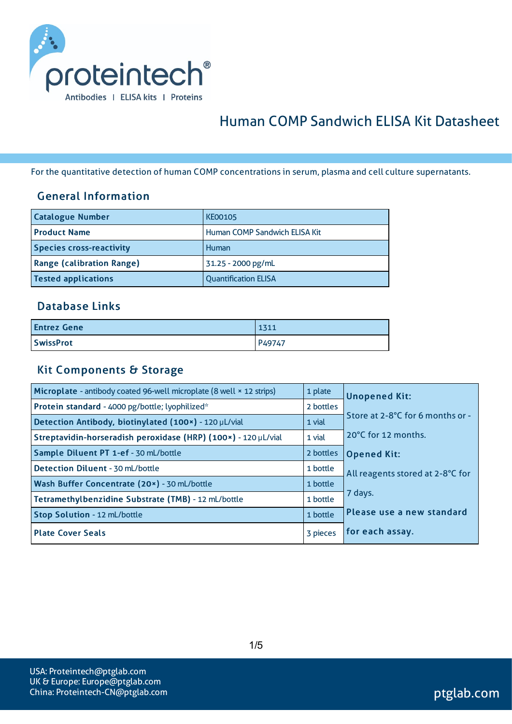

# Human COMP Sandwich ELISA Kit Datasheet

For the quantitative detection of human COMP concentrationsin serum, plasma and cell culture supernatants.

#### General Information

| <b>Catalogue Number</b>          | <b>KE00105</b>                  |
|----------------------------------|---------------------------------|
| <b>Product Name</b>              | l Human COMP Sandwich ELISA Kit |
| <b>Species cross-reactivity</b>  | Human                           |
| <b>Range (calibration Range)</b> | 31.25 - 2000 pg/mL              |
| <b>Tested applications</b>       | <b>Quantification ELISA</b>     |

#### Database Links

| <b>Entrez Gene</b> | 1311   |
|--------------------|--------|
| <b>SwissProt</b>   | P49747 |

#### Kit Components & Storage

| Microplate - antibody coated 96-well microplate (8 well × 12 strips) | 1 plate   | <b>Unopened Kit:</b>             |
|----------------------------------------------------------------------|-----------|----------------------------------|
| Protein standard - 4000 pg/bottle; lyophilized*                      | 2 bottles |                                  |
| Detection Antibody, biotinylated (100x) - 120 µL/vial                | 1 vial    | Store at 2-8°C for 6 months or - |
| Streptavidin-horseradish peroxidase (HRP) (100x) - 120 µL/vial       | 1 vial    | 20°C for 12 months.              |
| Sample Diluent PT 1-ef - 30 mL/bottle                                | 2 bottles | <b>Opened Kit:</b>               |
| Detection Diluent - 30 mL/bottle                                     | 1 bottle  | All reagents stored at 2-8°C for |
| Wash Buffer Concentrate (20x) - 30 mL/bottle                         | 1 bottle  |                                  |
| Tetramethylbenzidine Substrate (TMB) - 12 mL/bottle                  | 1 bottle  | 7 days.                          |
| Stop Solution - 12 mL/bottle                                         | 1 bottle  | Please use a new standard        |
| <b>Plate Cover Seals</b>                                             | 3 pieces  | for each assay.                  |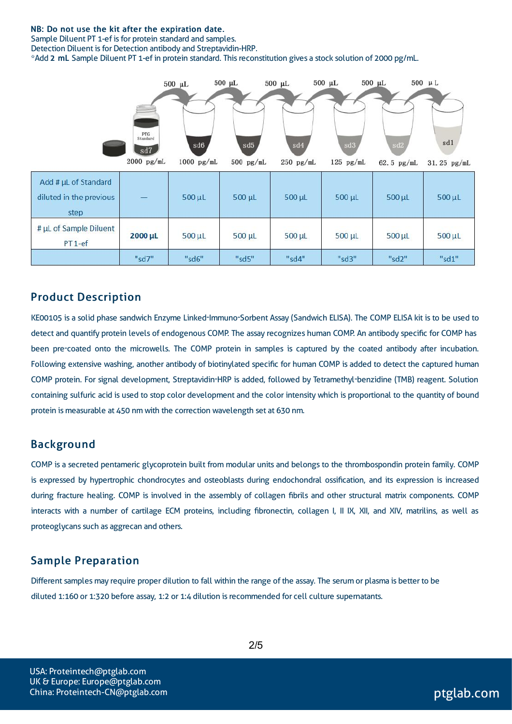#### NB: Do not use the kit after the expiration date.

Sample Diluent PT 1-ef is for protein standard and samples.

Detection Diluent is for Detection antibody and Streptavidin-HRP.

\*Add 2 mL Sample Diluent PT 1-ef in protein standard. Thisreconstitution gives a stock solution of 2000 pg/mL.



#### Product Description

KE00105 is a solid phase sandwich Enzyme Linked-Immuno-Sorbent Assay (Sandwich ELISA). The COMP ELISA kit isto be used to detect and quantify protein levels of endogenous COMP. The assay recognizes human COMP. An antibody specific for COMP has been pre-coated onto the microwells. The COMP protein in samples is captured by the coated antibody after incubation. Following extensive washing, another antibody of biotinylated specific for human COMP is added to detect the captured human COMP protein. For signal development, Streptavidin-HRP is added, followed by Tetramethyl-benzidine (TMB) reagent. Solution containing sulfuric acid is used to stop color development and the color intensity which is proportional to the quantity of bound protein is measurable at 450 nm with the correction wavelength set at 630 nm.

#### Background

COMP is a secreted pentameric glycoprotein built from modular units and belongsto the thrombospondin protein family. COMP is expressed by hypertrophic chondrocytes and osteoblasts during endochondral ossification, and its expression is increased during fracture healing. COMP is involved in the assembly of collagen fibrils and other structural matrix components. COMP interacts with a number of cartilage ECM proteins, including fibronectin, collagen I, II IX, XII, and XIV, matrilins, as well as proteoglycans such as aggrecan and others.

#### Sample Preparation

Different samples may require proper dilution to fall within the range of the assay. The serum or plasma is better to be diluted 1:160 or 1:320 before assay, 1:2 or 1:4 dilution isrecommended for cell culture supernatants.

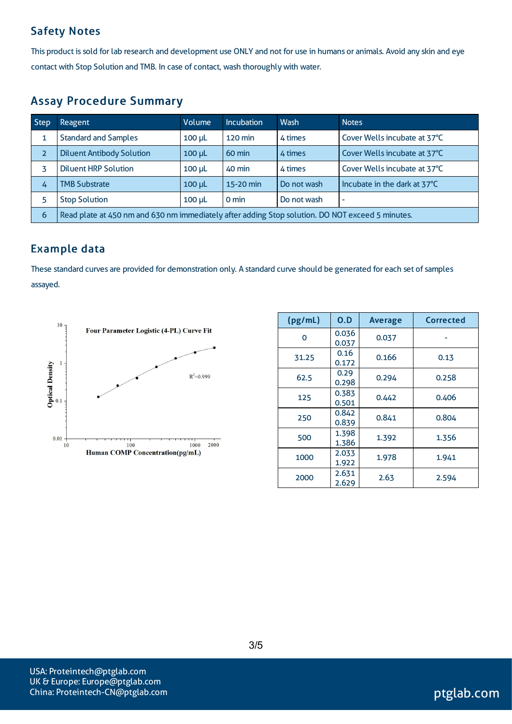## Safety Notes

This product is sold for lab research and development use ONLY and not for use in humans or animals. Avoid any skin and eye contact with Stop Solution and TMB. In case of contact, wash thoroughly with water.

## Assay Procedure Summary

| <b>Step</b>    | Reagent                                                                                          | Volume        | Incubation        | Wash        | <b>Notes</b>                 |  |
|----------------|--------------------------------------------------------------------------------------------------|---------------|-------------------|-------------|------------------------------|--|
|                | <b>Standard and Samples</b>                                                                      | $100 \mu L$   | $120 \text{ min}$ | 4 times     | Cover Wells incubate at 37°C |  |
| $\overline{z}$ | <b>Diluent Antibody Solution</b>                                                                 | $100$ $\mu$   | $60 \text{ min}$  | 4 times     | Cover Wells incubate at 37°C |  |
|                | <b>Diluent HRP Solution</b>                                                                      | $100$ $\mu$ L | 40 min            | 4 times     | Cover Wells incubate at 37°C |  |
| 4              | <b>TMB Substrate</b>                                                                             | $100$ $\mu$   | 15-20 min         | Do not wash | Incubate in the dark at 37°C |  |
| 5              | <b>Stop Solution</b>                                                                             | $100$ $\mu$   | 0 min             | Do not wash | $\overline{\phantom{a}}$     |  |
| 6              | Read plate at 450 nm and 630 nm immediately after adding Stop solution. DO NOT exceed 5 minutes. |               |                   |             |                              |  |

## Example data

These standard curves are provided for demonstration only. A standard curve should be generated for each set of samples assayed.



| (pg/mL) | O.D            | <b>Average</b> | Corrected |
|---------|----------------|----------------|-----------|
| Ω       | 0.036<br>0.037 | 0.037          |           |
| 31.25   | 0.16<br>0.172  | 0.166          | 0.13      |
| 62.5    | 0.29<br>0.298  | 0.294          | 0.258     |
| 125     | 0.383<br>0.501 | 0.442          | 0.406     |
| 250     | 0.842<br>0.839 | 0.841          | 0.804     |
| 500     | 1.398<br>1.386 | 1.392          | 1.356     |
| 1000    | 2.033<br>1.922 | 1.978          | 1.941     |
| 2000    | 2.631<br>2.629 | 2.63           | 2.594     |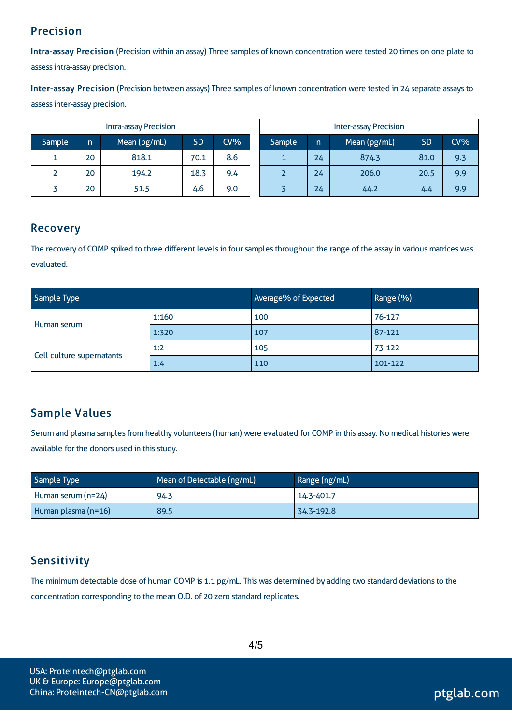## Precision

Intra-assay Precision (Precision within an assay) Three samples of known concentration were tested 20 times on one plate to assessintra-assay precision.

Inter-assay Precision (Precision between assays) Three samples of known concentration were tested in 24 separate assaysto assessinter-assay precision.

| <b>Intra-assay Precision</b> |    |              |           | <b>Inter-assay Precision</b> |  |        |     |              |           |     |
|------------------------------|----|--------------|-----------|------------------------------|--|--------|-----|--------------|-----------|-----|
| Sample                       | n  | Mean (pg/mL) | <b>SD</b> | $CV\%$                       |  | Sample | 'n. | Mean (pg/mL) | <b>SD</b> | CV% |
|                              | 20 | 818.1        | 70.1      | 8.6                          |  |        | 24  | 874.3        | 81.0      | 9.3 |
|                              | 20 | 194.2        | 18.3      | 9.4                          |  |        | 24  | 206.0        | 20.5      | 9.9 |
|                              | 20 | 51.5         | 4.6       | 9.0                          |  |        | 24  | 44.2         | 4.4       | 9.9 |

### Recovery

The recovery of COMP spiked to three different levels in four samples throughout the range of the assay in various matrices was evaluated.

| Sample Type               |       | Average% of Expected | Range (%) |
|---------------------------|-------|----------------------|-----------|
|                           | 1:160 | 100                  | 76-127    |
| Human serum               | 1:320 | 107                  | 87-121    |
|                           | 1:2   | 105                  | 73-122    |
| Cell culture supernatants | 1:4   | 110                  | 101-122   |

## Sample Values

Serum and plasma samples from healthy volunteers (human) were evaluated for COMP in this assay. No medical histories were available for the donors used in this study.

| Sample Type         | Mean of Detectable (ng/mL) | Range (ng/mL) |
|---------------------|----------------------------|---------------|
| Human serum (n=24)  | 94.3                       | 14.3-401.7    |
| Human plasma (n=16) | 89.5                       | 34.3-192.8    |

## **Sensitivity**

The minimum detectable dose of human COMP is 1.1 pg/mL. This was determined by adding two standard deviations to the concentration corresponding to the mean O.D. of 20 zero standard replicates.